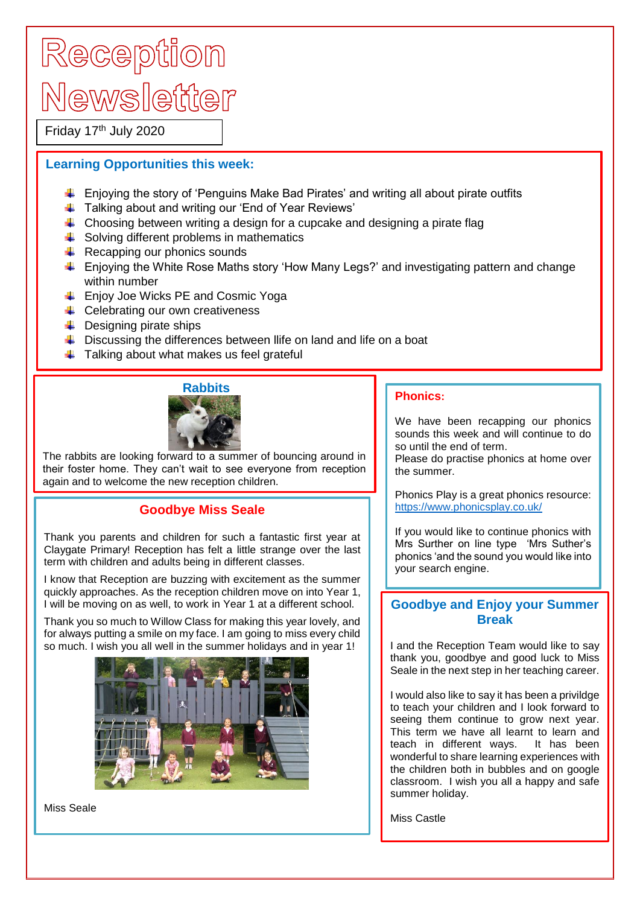# Reception Newsletter

Friday 17<sup>th</sup> July 2020

### **Learning Opportunities this week:**

- $\ddot{\phantom{1}}$  Enjoying the story of 'Penguins Make Bad Pirates' and writing all about pirate outfits
- Talking about and writing our 'End of Year Reviews'
- $\ddot{\phantom{1}}$  Choosing between writing a design for a cupcake and designing a pirate flag
- $\frac{1}{\sqrt{2}}$  Solving different problems in mathematics
- $\overline{\phantom{a}}$  Recapping our phonics sounds
- $\ddot{\phantom{1}}$  Enjoying the White Rose Maths story 'How Many Legs?' and investigating pattern and change within number
- **Enjoy Joe Wicks PE and Cosmic Yoga**
- $\leftarrow$  Celebrating our own creativeness
- $\leftarrow$  Designing pirate ships
- $\ddot{\phantom{1}}$  Discussing the differences between llife on land and life on a boat
- $\ddot{\bullet}$  Talking about what makes us feel grateful



The rabbits are looking forward to a summer of bouncing around in their foster home. They can't wait to see everyone from reception again and to welcome the new reception children.

### **Goodbye Miss Seale**

Thank you parents and children for such a fantastic first year at Claygate Primary! Reception has felt a little strange over the last term with children and adults being in different classes.

I know that Reception are buzzing with excitement as the summer quickly approaches. As the reception children move on into Year 1, I will be moving on as well, to work in Year 1 at a different school.

Thank you so much to Willow Class for making this year lovely, and for always putting a smile on my face. I am going to miss every child so much. I wish you all well in the summer holidays and in year 1!



Miss Seale

#### **Phonics:**

We have been recapping our phonics sounds this week and will continue to do so until the end of term.

Please do practise phonics at home over the summer.

Phonics Play is a great phonics resource: <https://www.phonicsplay.co.uk/>

If you would like to continue phonics with Mrs Surther on line type 'Mrs Suther's phonics 'and the sound you would like into your search engine.

## **Goodbye and Enjoy your Summer Break**

I and the Reception Team would like to say thank you, goodbye and good luck to Miss Seale in the next step in her teaching career.

I would also like to say it has been a privildge to teach your children and I look forward to seeing them continue to grow next year. This term we have all learnt to learn and teach in different ways. It has been wonderful to share learning experiences with the children both in bubbles and on google classroom. I wish you all a happy and safe summer holiday.

Miss Castle